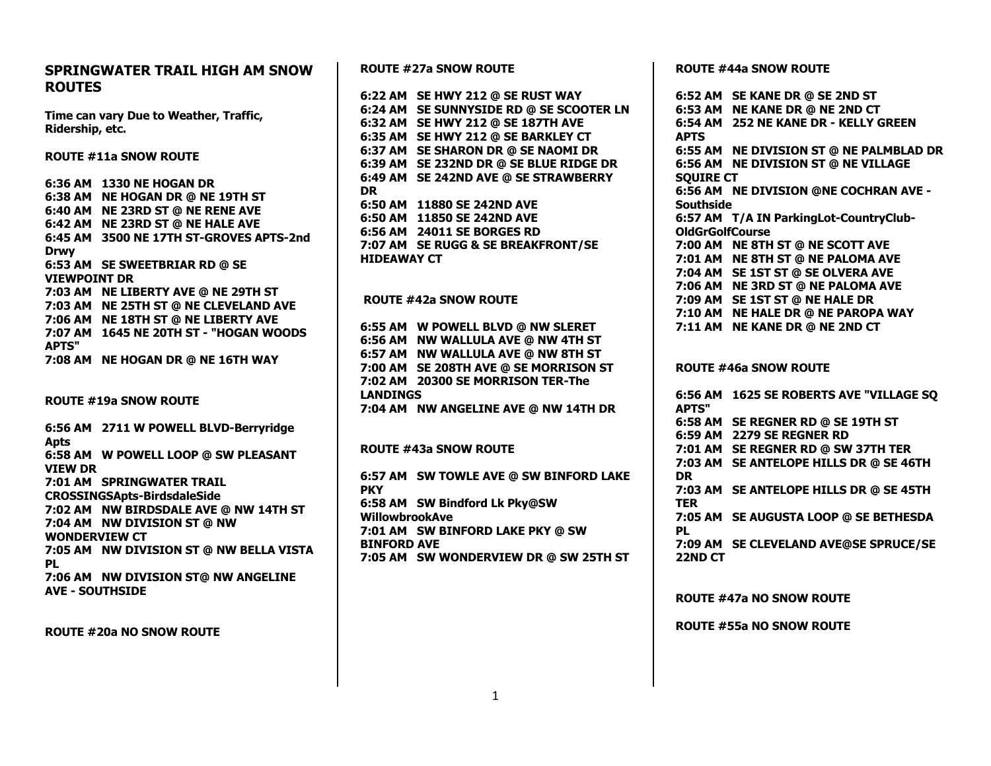## **SPRINGWATER TRAIL HIGH AM SNOW ROUTES**

**Time can vary Due to Weather, Traffic, Ridership, etc.**

**ROUTE #11a SNOW ROUTE**

**6:36 AM 1330 NE HOGAN DR 6:38 AM NE HOGAN DR @ NE 19TH ST 6:40 AM NE 23RD ST @ NE RENE AVE 6:42 AM NE 23RD ST @ NE HALE AVE 6:45 AM 3500 NE 17TH ST-GROVES APTS-2nd Drwy 6:53 AM SE SWEETBRIAR RD @ SE VIEWPOINT DR 7:03 AM NE LIBERTY AVE @ NE 29TH ST 7:03 AM NE 25TH ST @ NE CLEVELAND AVE 7:06 AM NE 18TH ST @ NE LIBERTY AVE 7:07 AM 1645 NE 20TH ST - "HOGAN WOODS APTS" 7:08 AM NE HOGAN DR @ NE 16TH WAY**

**ROUTE #19a SNOW ROUTE**

**6:56 AM 2711 W POWELL BLVD-Berryridge Apts 6:58 AM W POWELL LOOP @ SW PLEASANT VIEW DR 7:01 AM SPRINGWATER TRAIL CROSSINGSApts-BirdsdaleSide 7:02 AM NW BIRDSDALE AVE @ NW 14TH ST 7:04 AM NW DIVISION ST @ NW WONDERVIEW CT 7:05 AM NW DIVISION ST @ NW BELLA VISTA PL 7:06 AM NW DIVISION ST@ NW ANGELINE AVE - SOUTHSIDE**

**ROUTE #20a NO SNOW ROUTE**

**ROUTE #27a SNOW ROUTE**

**6:22 AM SE HWY 212 @ SE RUST WAY 6:24 AM SE SUNNYSIDE RD @ SE SCOOTER LN 6:32 AM SE HWY 212 @ SE 187TH AVE 6:35 AM SE HWY 212 @ SE BARKLEY CT 6:37 AM SE SHARON DR @ SE NAOMI DR 6:39 AM SE 232ND DR @ SE BLUE RIDGE DR 6:49 AM SE 242ND AVE @ SE STRAWBERRY DR 6:50 AM 11880 SE 242ND AVE 6:50 AM 11850 SE 242ND AVE 6:56 AM 24011 SE BORGES RD 7:07 AM SE RUGG & SE BREAKFRONT/SE HIDEAWAY CT**

### **ROUTE #42a SNOW ROUTE**

**6:55 AM W POWELL BLVD @ NW SLERET 6:56 AM NW WALLULA AVE @ NW 4TH ST 6:57 AM NW WALLULA AVE @ NW 8TH ST 7:00 AM SE 208TH AVE @ SE MORRISON ST 7:02 AM 20300 SE MORRISON TER-The LANDINGS 7:04 AM NW ANGELINE AVE @ NW 14TH DR**

**ROUTE #43a SNOW ROUTE**

**6:57 AM SW TOWLE AVE @ SW BINFORD LAKE PKY 6:58 AM SW Bindford Lk Pky@SW WillowbrookAve 7:01 AM SW BINFORD LAKE PKY @ SW BINFORD AVE 7:05 AM SW WONDERVIEW DR @ SW 25TH ST** **ROUTE #44a SNOW ROUTE**

**6:52 AM SE KANE DR @ SE 2ND ST 6:53 AM NE KANE DR @ NE 2ND CT 6:54 AM 252 NE KANE DR - KELLY GREEN APTS 6:55 AM NE DIVISION ST @ NE PALMBLAD DR 6:56 AM NE DIVISION ST @ NE VILLAGE SQUIRE CT 6:56 AM NE DIVISION @NE COCHRAN AVE - Southside 6:57 AM T/A IN ParkingLot-CountryClub-OldGrGolfCourse 7:00 AM NE 8TH ST @ NE SCOTT AVE 7:01 AM NE 8TH ST @ NE PALOMA AVE 7:04 AM SE 1ST ST @ SE OLVERA AVE 7:06 AM NE 3RD ST @ NE PALOMA AVE 7:09 AM SE 1ST ST @ NE HALE DR 7:10 AM NE HALE DR @ NE PAROPA WAY 7:11 AM NE KANE DR @ NE 2ND CT ROUTE #46a SNOW ROUTE**

**6:56 AM 1625 SE ROBERTS AVE "VILLAGE SQ APTS" 6:58 AM SE REGNER RD @ SE 19TH ST 6:59 AM 2279 SE REGNER RD 7:01 AM SE REGNER RD @ SW 37TH TER 7:03 AM SE ANTELOPE HILLS DR @ SE 46TH DR 7:03 AM SE ANTELOPE HILLS DR @ SE 45TH TER 7:05 AM SE AUGUSTA LOOP @ SE BETHESDA PL 7:09 AM SE CLEVELAND AVE@SE SPRUCE/SE 22ND CT**

**ROUTE #47a NO SNOW ROUTE**

**ROUTE #55a NO SNOW ROUTE**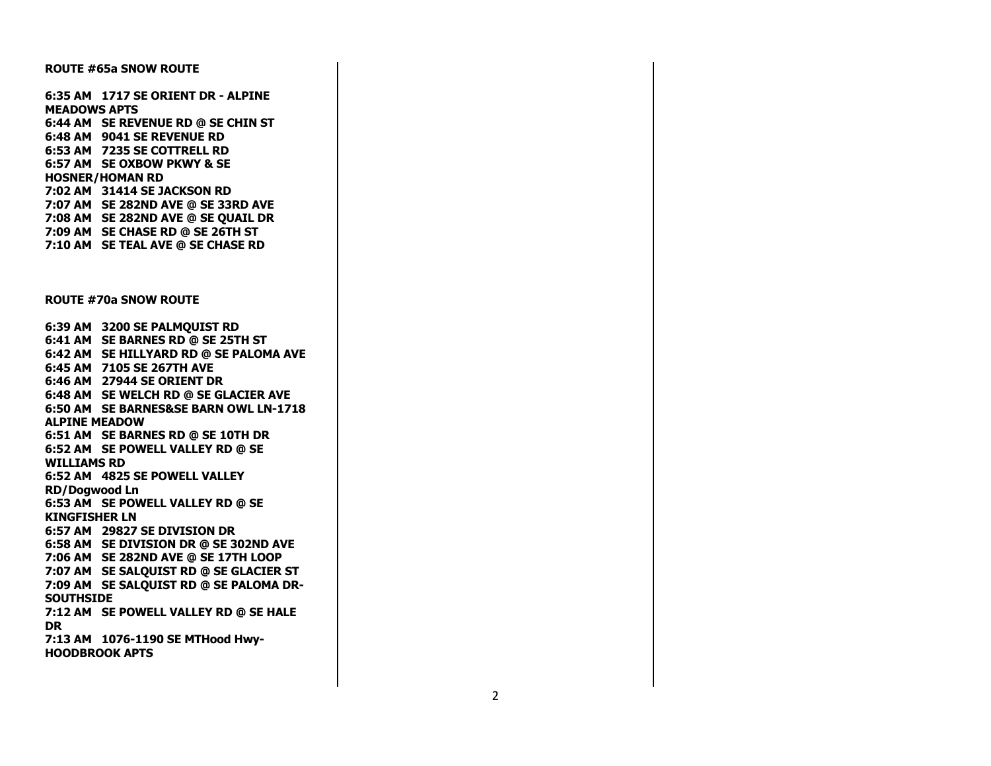#### **ROUTE #65a SNOW ROUTE**

**6:35 AM 1717 SE ORIENT DR - ALPINE MEADOWS APTS 6:44 AM SE REVENUE RD @ SE CHIN ST 6:48 AM 9041 SE REVENUE RD 6:53 AM 7235 SE COTTRELL RD 6:57 AM SE OXBOW PKWY & SE HOSNER/HOMAN RD 7:02 AM 31414 SE JACKSON RD 7:07 AM SE 282ND AVE @ SE 33RD AVE 7:08 AM SE 282ND AVE @ SE QUAIL DR 7:09 AM SE CHASE RD @ SE 26TH ST 7:10 AM SE TEAL AVE @ SE CHASE RD**

#### **ROUTE #70a SNOW ROUTE**

**6:39 AM 3200 SE PALMQUIST RD 6:41 AM SE BARNES RD @ SE 25TH ST 6:42 AM SE HILLYARD RD @ SE PALOMA AVE 6:45 AM 7105 SE 267TH AVE 6:46 AM 27944 SE ORIENT DR 6:48 AM SE WELCH RD @ SE GLACIER AVE 6:50 AM SE BARNES&SE BARN OWL LN-1718 ALPINE MEADOW 6:51 AM SE BARNES RD @ SE 10TH DR 6:52 AM SE POWELL VALLEY RD @ SE WILLIAMS RD 6:52 AM 4825 SE POWELL VALLEY RD/Dogwood Ln 6:53 AM SE POWELL VALLEY RD @ SE KINGFISHER LN 6:57 AM 29827 SE DIVISION DR 6:58 AM SE DIVISION DR @ SE 302ND AVE 7:06 AM SE 282ND AVE @ SE 17TH LOOP 7:07 AM SE SALQUIST RD @ SE GLACIER ST 7:09 AM SE SALQUIST RD @ SE PALOMA DR-SOUTHSIDE 7:12 AM SE POWELL VALLEY RD @ SE HALE DR 7:13 AM 1076-1190 SE MTHood Hwy-HOODBROOK APTS**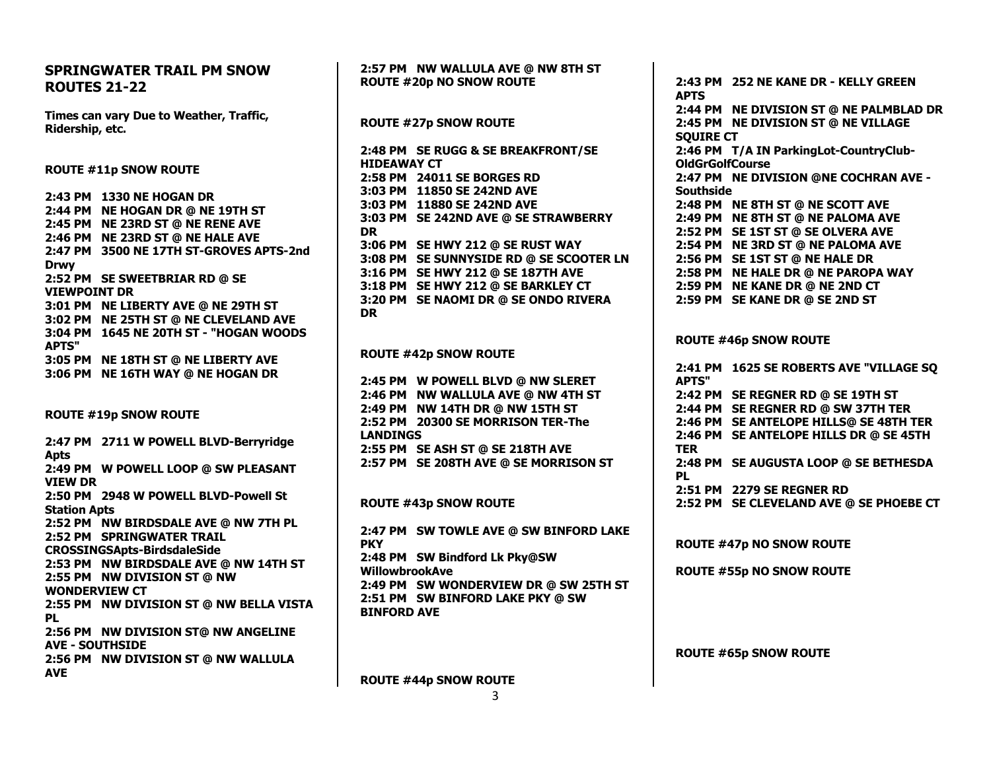# **SPRINGWATER TRAIL PM SNOW ROUTES 21-22 Times can vary Due to Weather, Traffic, Ridership, etc. ROUTE #11p SNOW ROUTE 2:43 PM 1330 NE HOGAN DR 2:44 PM NE HOGAN DR @ NE 19TH ST 2:45 PM NE 23RD ST @ NE RENE AVE 2:46 PM NE 23RD ST @ NE HALE AVE 2:47 PM 3500 NE 17TH ST-GROVES APTS-2nd Drwy 2:52 PM SE SWEETBRIAR RD @ SE VIEWPOINT DR 3:01 PM NE LIBERTY AVE @ NE 29TH ST 3:02 PM NE 25TH ST @ NE CLEVELAND AVE 3:04 PM 1645 NE 20TH ST - "HOGAN WOODS APTS" 3:05 PM NE 18TH ST @ NE LIBERTY AVE 3:06 PM NE 16TH WAY @ NE HOGAN DR ROUTE #19p SNOW ROUTE 2:47 PM 2711 W POWELL BLVD-Berryridge Apts 2:49 PM W POWELL LOOP @ SW PLEASANT VIEW DR 2:50 PM 2948 W POWELL BLVD-Powell St Station Apts 2:52 PM NW BIRDSDALE AVE @ NW 7TH PL 2:52 PM SPRINGWATER TRAIL CROSSINGSApts-BirdsdaleSide 2:53 PM NW BIRDSDALE AVE @ NW 14TH ST 2:55 PM NW DIVISION ST @ NW WONDERVIEW CT 2:55 PM NW DIVISION ST @ NW BELLA VISTA PL 2:56 PM NW DIVISION ST@ NW ANGELINE AVE - SOUTHSIDE 2:56 PM NW DIVISION ST @ NW WALLULA AVE**

**2:57 PM NW WALLULA AVE @ NW 8TH ST ROUTE #20p NO SNOW ROUTE ROUTE #27p SNOW ROUTE 2:48 PM SE RUGG & SE BREAKFRONT/SE HIDEAWAY CT 2:58 PM 24011 SE BORGES RD 3:03 PM 11850 SE 242ND AVE 3:03 PM 11880 SE 242ND AVE 3:03 PM SE 242ND AVE @ SE STRAWBERRY DR 3:06 PM SE HWY 212 @ SE RUST WAY 3:08 PM SE SUNNYSIDE RD @ SE SCOOTER LN 3:16 PM SE HWY 212 @ SE 187TH AVE 3:18 PM SE HWY 212 @ SE BARKLEY CT 3:20 PM SE NAOMI DR @ SE ONDO RIVERA DR ROUTE #42p SNOW ROUTE 2:45 PM W POWELL BLVD @ NW SLERET 2:46 PM NW WALLULA AVE @ NW 4TH ST 2:49 PM NW 14TH DR @ NW 15TH ST 2:52 PM 20300 SE MORRISON TER-The LANDINGS 2:55 PM SE ASH ST @ SE 218TH AVE 2:57 PM SE 208TH AVE @ SE MORRISON ST ROUTE #43p SNOW ROUTE 2:47 PM SW TOWLE AVE @ SW BINFORD LAKE PKY 2:48 PM SW Bindford Lk Pky@SW WillowbrookAve 2:49 PM SW WONDERVIEW DR @ SW 25TH ST 2:51 PM SW BINFORD LAKE PKY @ SW BINFORD AVE**

**ROUTE #44p SNOW ROUTE**

**2:43 PM 252 NE KANE DR - KELLY GREEN APTS 2:44 PM NE DIVISION ST @ NE PALMBLAD DR 2:45 PM NE DIVISION ST @ NE VILLAGE SQUIRE CT 2:46 PM T/A IN ParkingLot-CountryClub-OldGrGolfCourse 2:47 PM NE DIVISION @NE COCHRAN AVE - Southside 2:48 PM NE 8TH ST @ NE SCOTT AVE 2:49 PM NE 8TH ST @ NE PALOMA AVE 2:52 PM SE 1ST ST @ SE OLVERA AVE 2:54 PM NE 3RD ST @ NE PALOMA AVE 2:56 PM SE 1ST ST @ NE HALE DR 2:58 PM NE HALE DR @ NE PAROPA WAY 2:59 PM NE KANE DR @ NE 2ND CT 2:59 PM SE KANE DR @ SE 2ND ST**

## **ROUTE #46p SNOW ROUTE**

**2:41 PM 1625 SE ROBERTS AVE "VILLAGE SQ APTS" 2:42 PM SE REGNER RD @ SE 19TH ST 2:44 PM SE REGNER RD @ SW 37TH TER 2:46 PM SE ANTELOPE HILLS@ SE 48TH TER 2:46 PM SE ANTELOPE HILLS DR @ SE 45TH TER 2:48 PM SE AUGUSTA LOOP @ SE BETHESDA PL 2:51 PM 2279 SE REGNER RD 2:52 PM SE CLEVELAND AVE @ SE PHOEBE CT**

**ROUTE #47p NO SNOW ROUTE**

**ROUTE #55p NO SNOW ROUTE**

**ROUTE #65p SNOW ROUTE**